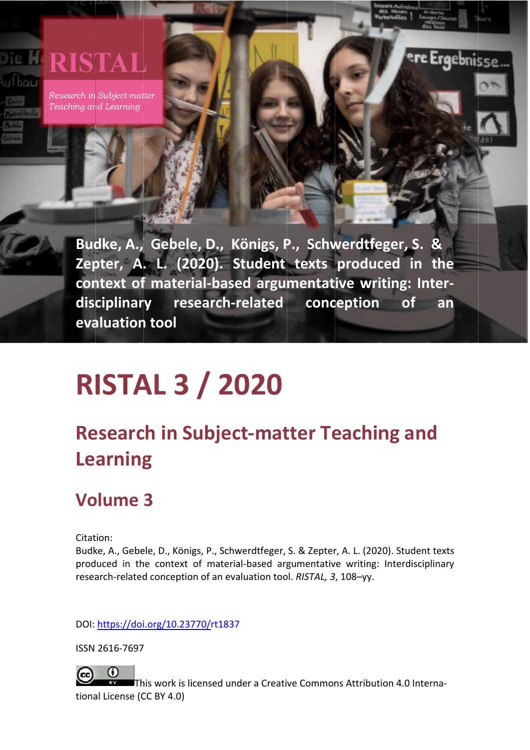# **RISTAL**

Research in Subject-matter Teaching and Learning

AL. Research i

in Subject

tter Teaching

g and Learning

 $\sim$  3000), 1080, 1080, 1080, 1080, 1080, 1080, 1080, 1080, 1080, 1080, 1080, 1080, 1080, 1080, 1080, 1080, 1080, 1080, 1080, 1080, 1080, 1080, 1080, 1080, 1080, 1080, 1080, 1080, 1080, 1080, 1080, 1080, 1080, 1080, 1080,

8–125

Ergebnis

Budke, A., Gebele, D., Königs, P., Schwerdtfeger, S. & **Zep pter, A . L. (20 020). S Student texts produc ced in the**  context of material-based argumentative writing: Inter**disc ciplinar evaluation tool** ry research-related conception **of an** 

# **R ISTA AL 3 / 20 020**

# **Research in Subject-matter Teaching and Learning**

# **Vo olume 3**

Citation:

Budke, A., Gebele, D., Königs, P., Schwerdtfeger, S. & Zepter, A. L. (2020). Student texts produced in the context of material-based argumentative writing: Interdisciplinary research-related conception of an evaluation tool. *RISTAL, 3*, 108-yy.

DOI: <u><https://doi>.org/10.23770/</u>rt1837

ISSN 2616‐7697

97<br>|<br>This work is licensed under a Creative Commons Attribution 4.0 Interna- $\Omega$ tional License (CC BY 4.0)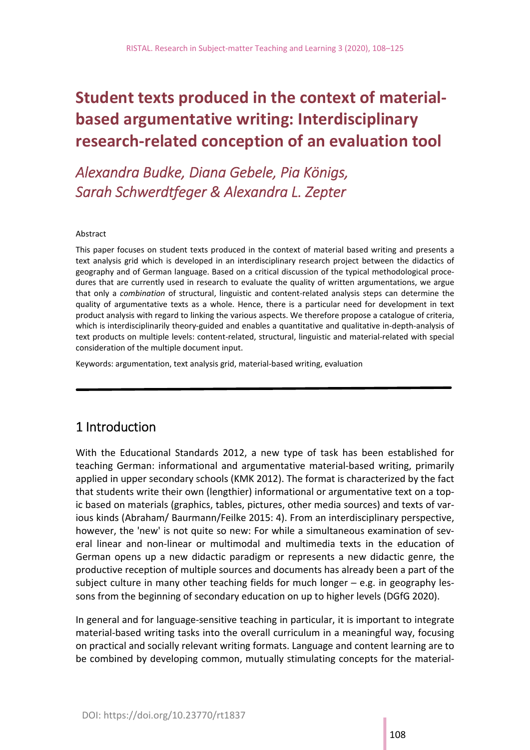# **Student texts produced in the context of material‐ based argumentative writing: Interdisciplinary research‐related conception of an evaluation tool**

*Alexandra Budke, Diana Gebele, Pia Königs, Sarah Schwerdtfeger & Alexandra L. Zepter* 

#### Abstract

This paper focuses on student texts produced in the context of material based writing and presents a text analysis grid which is developed in an interdisciplinary research project between the didactics of geography and of German language. Based on a critical discussion of the typical methodological proce‐ dures that are currently used in research to evaluate the quality of written argumentations, we argue that only a *combination* of structural, linguistic and content‐related analysis steps can determine the quality of argumentative texts as a whole. Hence, there is a particular need for development in text product analysis with regard to linking the various aspects. We therefore propose a catalogue of criteria, which is interdisciplinarily theory-guided and enables a quantitative and qualitative in-depth-analysis of text products on multiple levels: content‐related, structural, linguistic and material‐related with special consideration of the multiple document input.

Keywords: argumentation, text analysis grid, material‐based writing, evaluation

### 1 Introduction

With the Educational Standards 2012, a new type of task has been established for teaching German: informational and argumentative material‐based writing, primarily applied in upper secondary schools (KMK 2012). The format is characterized by the fact that students write their own (lengthier) informational or argumentative text on a top‐ ic based on materials (graphics, tables, pictures, other media sources) and texts of var‐ ious kinds (Abraham/ Baurmann/Feilke 2015: 4). From an interdisciplinary perspective, however, the 'new' is not quite so new: For while a simultaneous examination of several linear and non-linear or multimodal and multimedia texts in the education of German opens up a new didactic paradigm or represents a new didactic genre, the productive reception of multiple sources and documents has already been a part of the subject culture in many other teaching fields for much longer  $-$  e.g. in geography lessons from the beginning of secondary education on up to higher levels (DGfG 2020).

In general and for language‐sensitive teaching in particular, it is important to integrate material-based writing tasks into the overall curriculum in a meaningful way, focusing on practical and socially relevant writing formats. Language and content learning are to be combined by developing common, mutually stimulating concepts for the material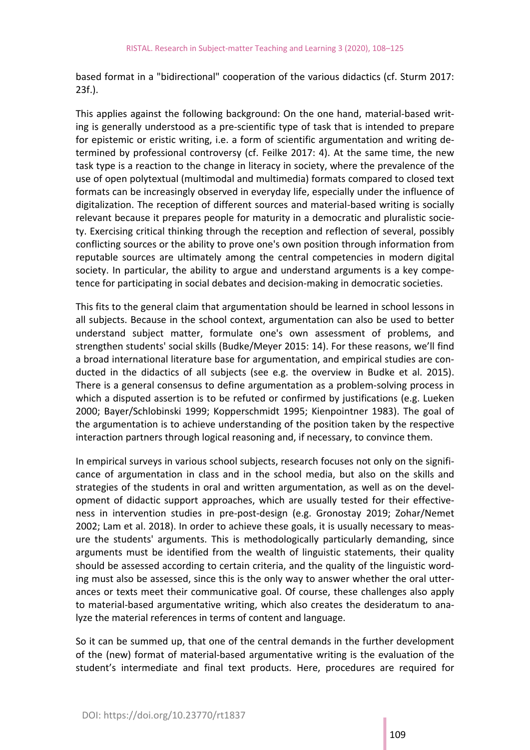based format in a "bidirectional" cooperation of the various didactics (cf. Sturm 2017: 23f.).

This applies against the following background: On the one hand, material‐based writ‐ ing is generally understood as a pre‐scientific type of task that is intended to prepare for epistemic or eristic writing, i.e. a form of scientific argumentation and writing de‐ termined by professional controversy (cf. Feilke 2017: 4). At the same time, the new task type is a reaction to the change in literacy in society, where the prevalence of the use of open polytextual (multimodal and multimedia) formats compared to closed text formats can be increasingly observed in everyday life, especially under the influence of digitalization. The reception of different sources and material‐based writing is socially relevant because it prepares people for maturity in a democratic and pluralistic socie‐ ty. Exercising critical thinking through the reception and reflection of several, possibly conflicting sources or the ability to prove one's own position through information from reputable sources are ultimately among the central competencies in modern digital society. In particular, the ability to argue and understand arguments is a key competence for participating in social debates and decision‐making in democratic societies.

This fits to the general claim that argumentation should be learned in school lessons in all subjects. Because in the school context, argumentation can also be used to better understand subject matter, formulate one's own assessment of problems, and strengthen students' social skills (Budke/Meyer 2015: 14). For these reasons, we'll find a broad international literature base for argumentation, and empirical studies are con‐ ducted in the didactics of all subjects (see e.g. the overview in Budke et al. 2015). There is a general consensus to define argumentation as a problem‐solving process in which a disputed assertion is to be refuted or confirmed by justifications (e.g. Lueken 2000; Bayer/Schlobinski 1999; Kopperschmidt 1995; Kienpointner 1983). The goal of the argumentation is to achieve understanding of the position taken by the respective interaction partners through logical reasoning and, if necessary, to convince them.

In empirical surveys in various school subjects, research focuses not only on the signifi‐ cance of argumentation in class and in the school media, but also on the skills and strategies of the students in oral and written argumentation, as well as on the devel‐ opment of didactic support approaches, which are usually tested for their effective‐ ness in intervention studies in pre‐post‐design (e.g. Gronostay 2019; Zohar/Nemet 2002; Lam et al. 2018). In order to achieve these goals, it is usually necessary to meas‐ ure the students' arguments. This is methodologically particularly demanding, since arguments must be identified from the wealth of linguistic statements, their quality should be assessed according to certain criteria, and the quality of the linguistic word‐ ing must also be assessed, since this is the only way to answer whether the oral utter‐ ances or texts meet their communicative goal. Of course, these challenges also apply to material‐based argumentative writing, which also creates the desideratum to ana‐ lyze the material references in terms of content and language.

So it can be summed up, that one of the central demands in the further development of the (new) format of material‐based argumentative writing is the evaluation of the student's intermediate and final text products. Here, procedures are required for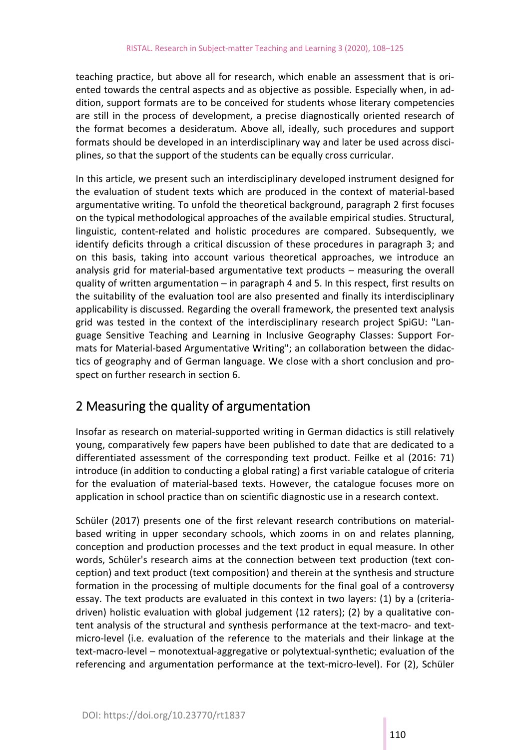teaching practice, but above all for research, which enable an assessment that is ori‐ ented towards the central aspects and as objective as possible. Especially when, in ad‐ dition, support formats are to be conceived for students whose literary competencies are still in the process of development, a precise diagnostically oriented research of the format becomes a desideratum. Above all, ideally, such procedures and support formats should be developed in an interdisciplinary way and later be used across disci‐ plines, so that the support of the students can be equally cross curricular.

In this article, we present such an interdisciplinary developed instrument designed for the evaluation of student texts which are produced in the context of material‐based argumentative writing. To unfold the theoretical background, paragraph 2 first focuses on the typical methodological approaches of the available empirical studies. Structural, linguistic, content-related and holistic procedures are compared. Subsequently, we identify deficits through a critical discussion of these procedures in paragraph 3; and on this basis, taking into account various theoretical approaches, we introduce an analysis grid for material-based argumentative text products - measuring the overall quality of written argumentation  $-$  in paragraph 4 and 5. In this respect, first results on the suitability of the evaluation tool are also presented and finally its interdisciplinary applicability is discussed. Regarding the overall framework, the presented text analysis grid was tested in the context of the interdisciplinary research project SpiGU: "Lan‐ guage Sensitive Teaching and Learning in Inclusive Geography Classes: Support For‐ mats for Material‐based Argumentative Writing"; an collaboration between the didac‐ tics of geography and of German language. We close with a short conclusion and pro‐ spect on further research in section 6.

### 2 Measuring the quality of argumentation

Insofar as research on material‐supported writing in German didactics is still relatively young, comparatively few papers have been published to date that are dedicated to a differentiated assessment of the corresponding text product. Feilke et al (2016: 71) introduce (in addition to conducting a global rating) a first variable catalogue of criteria for the evaluation of material-based texts. However, the catalogue focuses more on application in school practice than on scientific diagnostic use in a research context.

Schüler (2017) presents one of the first relevant research contributions on materialbased writing in upper secondary schools, which zooms in on and relates planning, conception and production processes and the text product in equal measure. In other words, Schüler's research aims at the connection between text production (text conception) and text product (text composition) and therein at the synthesis and structure formation in the processing of multiple documents for the final goal of a controversy essay. The text products are evaluated in this context in two layers: (1) by a (criteria‐ driven) holistic evaluation with global judgement (12 raters); (2) by a qualitative con‐ tent analysis of the structural and synthesis performance at the text-macro- and textmicro‐level (i.e. evaluation of the reference to the materials and their linkage at the text‐macro‐level ─ monotextual‐aggregative or polytextual‐synthetic; evaluation of the referencing and argumentation performance at the text-micro-level). For (2), Schüler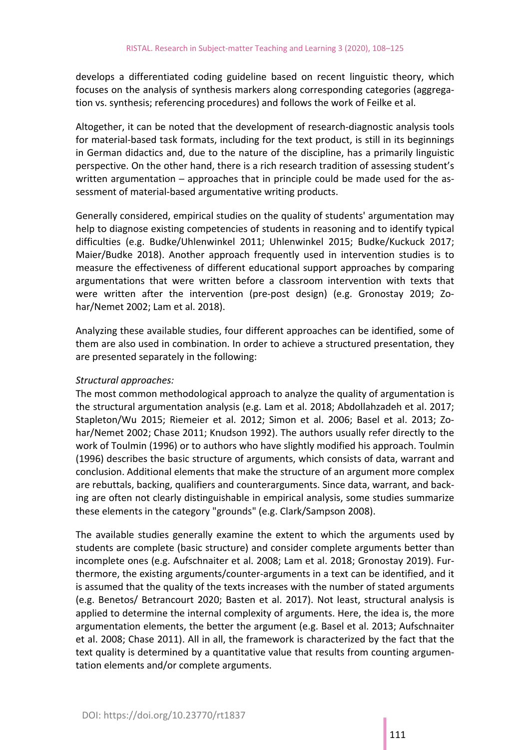develops a differentiated coding guideline based on recent linguistic theory, which focuses on the analysis of synthesis markers along corresponding categories (aggrega‐ tion vs. synthesis; referencing procedures) and follows the work of Feilke et al.

Altogether, it can be noted that the development of research‐diagnostic analysis tools for material-based task formats, including for the text product, is still in its beginnings in German didactics and, due to the nature of the discipline, has a primarily linguistic perspective. On the other hand, there is a rich research tradition of assessing student's written argumentation – approaches that in principle could be made used for the assessment of material-based argumentative writing products.

Generally considered, empirical studies on the quality of students' argumentation may help to diagnose existing competencies of students in reasoning and to identify typical difficulties (e.g. Budke/Uhlenwinkel 2011; Uhlenwinkel 2015; Budke/Kuckuck 2017; Maier/Budke 2018). Another approach frequently used in intervention studies is to measure the effectiveness of different educational support approaches by comparing argumentations that were written before a classroom intervention with texts that were written after the intervention (pre-post design) (e.g. Gronostay 2019; Zohar/Nemet 2002; Lam et al. 2018).

Analyzing these available studies, four different approaches can be identified, some of them are also used in combination. In order to achieve a structured presentation, they are presented separately in the following:

#### *Structural approaches:*

The most common methodological approach to analyze the quality of argumentation is the structural argumentation analysis (e.g. Lam et al. 2018; Abdollahzadeh et al. 2017; Stapleton/Wu 2015; Riemeier et al. 2012; Simon et al. 2006; Basel et al. 2013; Zo‐ har/Nemet 2002; Chase 2011; Knudson 1992). The authors usually refer directly to the work of Toulmin (1996) or to authors who have slightly modified his approach. Toulmin (1996) describes the basic structure of arguments, which consists of data, warrant and conclusion. Additional elements that make the structure of an argument more complex are rebuttals, backing, qualifiers and counterarguments. Since data, warrant, and back‐ ing are often not clearly distinguishable in empirical analysis, some studies summarize these elements in the category "grounds" (e.g. Clark/Sampson 2008).

The available studies generally examine the extent to which the arguments used by students are complete (basic structure) and consider complete arguments better than incomplete ones (e.g. Aufschnaiter et al. 2008; Lam et al. 2018; Gronostay 2019). Fur‐ thermore, the existing arguments/counter‐arguments in a text can be identified, and it is assumed that the quality of the texts increases with the number of stated arguments (e.g. Benetos/ Betrancourt 2020; Basten et al. 2017). Not least, structural analysis is applied to determine the internal complexity of arguments. Here, the idea is, the more argumentation elements, the better the argument (e.g. Basel et al. 2013; Aufschnaiter et al. 2008; Chase 2011). All in all, the framework is characterized by the fact that the text quality is determined by a quantitative value that results from counting argumen‐ tation elements and/or complete arguments.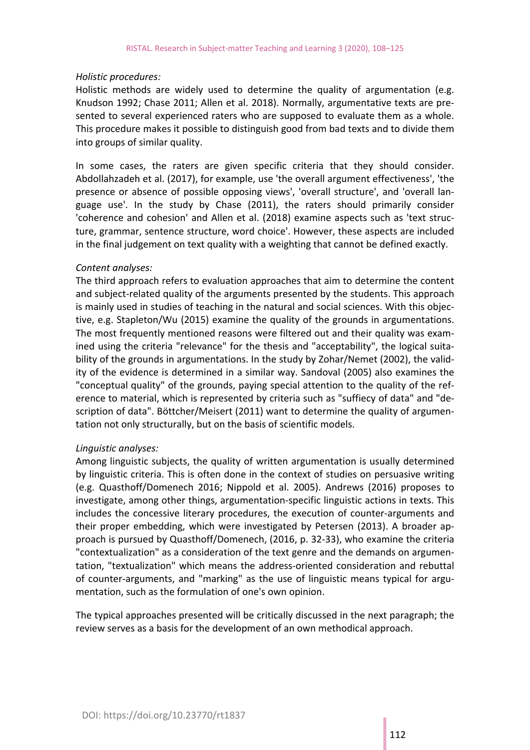#### *Holistic procedures:*

Holistic methods are widely used to determine the quality of argumentation (e.g. Knudson 1992; Chase 2011; Allen et al. 2018). Normally, argumentative texts are pre‐ sented to several experienced raters who are supposed to evaluate them as a whole. This procedure makes it possible to distinguish good from bad texts and to divide them into groups of similar quality.

In some cases, the raters are given specific criteria that they should consider. Abdollahzadeh et al. (2017), for example, use 'the overall argument effectiveness', 'the presence or absence of possible opposing views', 'overall structure', and 'overall language use'. In the study by Chase (2011), the raters should primarily consider 'coherence and cohesion' and Allen et al. (2018) examine aspects such as 'text struc‐ ture, grammar, sentence structure, word choice'. However, these aspects are included in the final judgement on text quality with a weighting that cannot be defined exactly.

#### *Content analyses:*

The third approach refers to evaluation approaches that aim to determine the content and subject‐related quality of the arguments presented by the students. This approach is mainly used in studies of teaching in the natural and social sciences. With this objec‐ tive, e.g. Stapleton/Wu (2015) examine the quality of the grounds in argumentations. The most frequently mentioned reasons were filtered out and their quality was exam‐ ined using the criteria "relevance" for the thesis and "acceptability", the logical suitability of the grounds in argumentations. In the study by Zohar/Nemet (2002), the valid‐ ity of the evidence is determined in a similar way. Sandoval (2005) also examines the "conceptual quality" of the grounds, paying special attention to the quality of the ref‐ erence to material, which is represented by criteria such as "suffiecy of data" and "de‐ scription of data". Böttcher/Meisert (2011) want to determine the quality of argumen‐ tation not only structurally, but on the basis of scientific models.

#### *Linguistic analyses:*

Among linguistic subjects, the quality of written argumentation is usually determined by linguistic criteria. This is often done in the context of studies on persuasive writing (e.g. Quasthoff/Domenech 2016; Nippold et al. 2005). Andrews (2016) proposes to investigate, among other things, argumentation‐specific linguistic actions in texts. This includes the concessive literary procedures, the execution of counter-arguments and their proper embedding, which were investigated by Petersen (2013). A broader approach is pursued by Quasthoff/Domenech, (2016, p. 32‐33), who examine the criteria "contextualization" as a consideration of the text genre and the demands on argumen‐ tation, "textualization" which means the address‐oriented consideration and rebuttal of counter-arguments, and "marking" as the use of linguistic means typical for argumentation, such as the formulation of one's own opinion.

The typical approaches presented will be critically discussed in the next paragraph; the review serves as a basis for the development of an own methodical approach.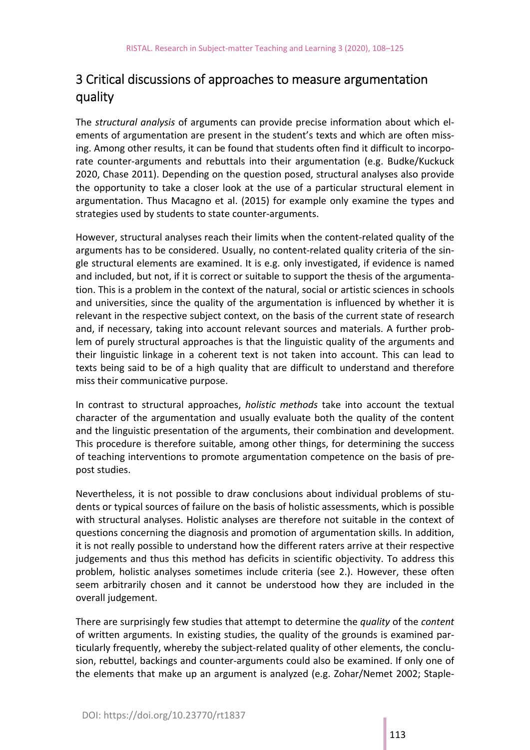# 3 Critical discussions of approaches to measure argumentation quality

The *structural analysis* of arguments can provide precise information about which el‐ ements of argumentation are present in the student's texts and which are often missing. Among other results, it can be found that students often find it difficult to incorpo‐ rate counter‐arguments and rebuttals into their argumentation (e.g. Budke/Kuckuck 2020, Chase 2011). Depending on the question posed, structural analyses also provide the opportunity to take a closer look at the use of a particular structural element in argumentation. Thus Macagno et al. (2015) for example only examine the types and strategies used by students to state counter‐arguments.

However, structural analyses reach their limits when the content‐related quality of the arguments has to be considered. Usually, no content-related quality criteria of the single structural elements are examined. It is e.g. only investigated, if evidence is named and included, but not, if it is correct or suitable to support the thesis of the argumenta‐ tion. This is a problem in the context of the natural, social or artistic sciences in schools and universities, since the quality of the argumentation is influenced by whether it is relevant in the respective subject context, on the basis of the current state of research and, if necessary, taking into account relevant sources and materials. A further prob‐ lem of purely structural approaches is that the linguistic quality of the arguments and their linguistic linkage in a coherent text is not taken into account. This can lead to texts being said to be of a high quality that are difficult to understand and therefore miss their communicative purpose.

In contrast to structural approaches, *holistic methods* take into account the textual character of the argumentation and usually evaluate both the quality of the content and the linguistic presentation of the arguments, their combination and development. This procedure is therefore suitable, among other things, for determining the success of teaching interventions to promote argumentation competence on the basis of pre‐ post studies.

Nevertheless, it is not possible to draw conclusions about individual problems of stu‐ dents or typical sources of failure on the basis of holistic assessments, which is possible with structural analyses. Holistic analyses are therefore not suitable in the context of questions concerning the diagnosis and promotion of argumentation skills. In addition, it is not really possible to understand how the different raters arrive at their respective judgements and thus this method has deficits in scientific objectivity. To address this problem, holistic analyses sometimes include criteria (see 2.). However, these often seem arbitrarily chosen and it cannot be understood how they are included in the overall judgement.

There are surprisingly few studies that attempt to determine the *quality* of the *content* of written arguments. In existing studies, the quality of the grounds is examined par‐ ticularly frequently, whereby the subject-related quality of other elements, the conclusion, rebuttel, backings and counter‐arguments could also be examined. If only one of the elements that make up an argument is analyzed (e.g. Zohar/Nemet 2002; Staple‐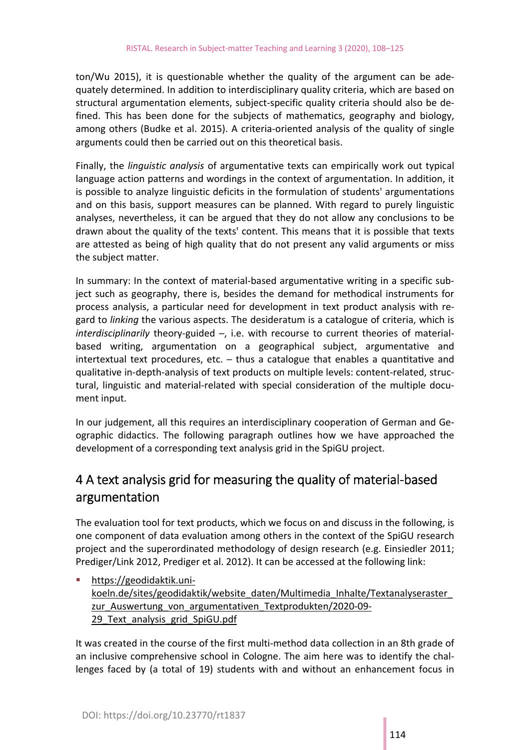ton/Wu 2015), it is questionable whether the quality of the argument can be adequately determined. In addition to interdisciplinary quality criteria, which are based on structural argumentation elements, subject‐specific quality criteria should also be de‐ fined. This has been done for the subjects of mathematics, geography and biology, among others (Budke et al. 2015). A criteria‐oriented analysis of the quality of single arguments could then be carried out on this theoretical basis.

Finally, the *linguistic analysis* of argumentative texts can empirically work out typical language action patterns and wordings in the context of argumentation. In addition, it is possible to analyze linguistic deficits in the formulation of students' argumentations and on this basis, support measures can be planned. With regard to purely linguistic analyses, nevertheless, it can be argued that they do not allow any conclusions to be drawn about the quality of the texts' content. This means that it is possible that texts are attested as being of high quality that do not present any valid arguments or miss the subject matter.

In summary: In the context of material‐based argumentative writing in a specific sub‐ ject such as geography, there is, besides the demand for methodical instruments for process analysis, a particular need for development in text product analysis with re‐ gard to *linking* the various aspects. The desideratum is a catalogue of criteria, which is *interdisciplinarily* theory-guided -, i.e. with recourse to current theories of materialbased writing, argumentation on a geographical subject, argumentative and intertextual text procedures, etc.  $-$  thus a catalogue that enables a quantitative and qualitative in‐depth‐analysis of text products on multiple levels: content‐related, struc‐ tural, linguistic and material‐related with special consideration of the multiple docu‐ ment input.

In our judgement, all this requires an interdisciplinary cooperation of German and Ge‐ ographic didactics. The following paragraph outlines how we have approached the development of a corresponding text analysis grid in the SpiGU project.

## 4 A text analysis grid for measuring the quality of material‐based argumentation

The evaluation tool for text products, which we focus on and discuss in the following, is one component of data evaluation among others in the context of the SpiGU research project and the superordinated methodology of design research (e.g. Einsiedler 2011; Prediger/Link 2012, Prediger et al. 2012). It can be accessed at the following link:

 [https://geodidaktik.un](https://geodidaktik.uni%E2%80%90koeln.de/sites/geodidaktik/website_daten/Multimedia_Inhalte/Textanalyseraster_)i‐ [koeln.de/sites/geodidaktik/website\\_daten/Multimedia\\_Inhalte/Textanalyseraster\\_](https://geodidaktik.uni%E2%80%90koeln.de/sites/geodidaktik/website_daten/Multimedia_Inhalte/Textanalyseraster_) zur Auswertung von argumentativen Textprodukten/2020-09-29 Text analysis grid SpiGU.pdf

It was created in the course of the first multi-method data collection in an 8th grade of an inclusive comprehensive school in Cologne. The aim here was to identify the chal‐ lenges faced by (a total of 19) students with and without an enhancement focus in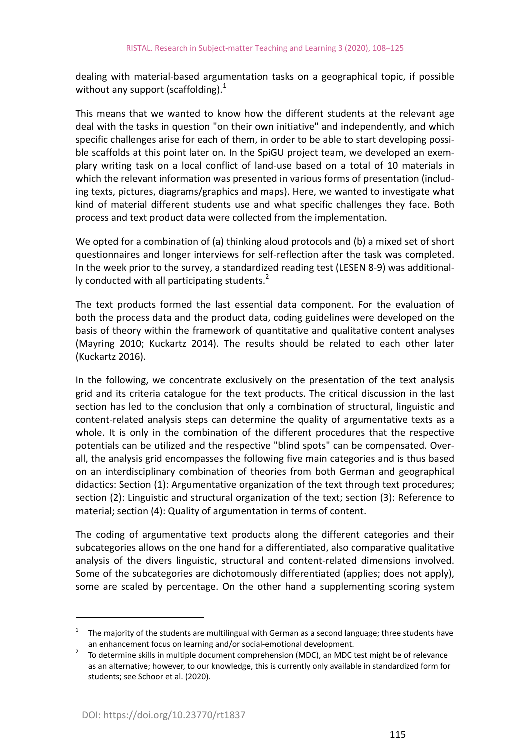dealing with material‐based argumentation tasks on a geographical topic, if possible without any support (scaffolding). $1$ 

This means that we wanted to know how the different students at the relevant age deal with the tasks in question "on their own initiative" and independently, and which specific challenges arise for each of them, in order to be able to start developing possible scaffolds at this point later on. In the SpiGU project team, we developed an exemplary writing task on a local conflict of land-use based on a total of 10 materials in which the relevant information was presented in various forms of presentation (including texts, pictures, diagrams/graphics and maps). Here, we wanted to investigate what kind of material different students use and what specific challenges they face. Both process and text product data were collected from the implementation.

We opted for a combination of (a) thinking aloud protocols and (b) a mixed set of short questionnaires and longer interviews for self‐reflection after the task was completed. In the week prior to the survey, a standardized reading test (LESEN 8‐9) was additional‐ ly conducted with all participating students. $2$ 

The text products formed the last essential data component. For the evaluation of both the process data and the product data, coding guidelines were developed on the basis of theory within the framework of quantitative and qualitative content analyses (Mayring 2010; Kuckartz 2014). The results should be related to each other later (Kuckartz 2016).

In the following, we concentrate exclusively on the presentation of the text analysis grid and its criteria catalogue for the text products. The critical discussion in the last section has led to the conclusion that only a combination of structural, linguistic and content‐related analysis steps can determine the quality of argumentative texts as a whole. It is only in the combination of the different procedures that the respective potentials can be utilized and the respective "blind spots" can be compensated. Over‐ all, the analysis grid encompasses the following five main categories and is thus based on an interdisciplinary combination of theories from both German and geographical didactics: Section (1): Argumentative organization of the text through text procedures; section (2): Linguistic and structural organization of the text; section (3): Reference to material; section (4): Quality of argumentation in terms of content.

The coding of argumentative text products along the different categories and their subcategories allows on the one hand for a differentiated, also comparative qualitative analysis of the divers linguistic, structural and content‐related dimensions involved. Some of the subcategories are dichotomously differentiated (applies; does not apply), some are scaled by percentage. On the other hand a supplementing scoring system

<sup>1</sup> The majority of the students are multilingual with German as a second language; three students have an enhancement focus on learning and/or social-emotional development.

To determine skills in multiple document comprehension (MDC), an MDC test might be of relevance as an alternative; however, to our knowledge, this is currently only available in standardized form for students; see Schoor et al. (2020).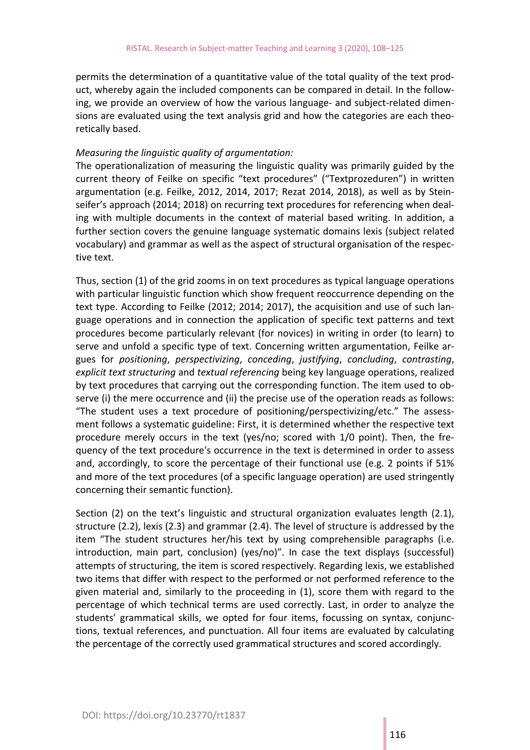permits the determination of a quantitative value of the total quality of the text prod‐ uct, whereby again the included components can be compared in detail. In the follow‐ ing, we provide an overview of how the various language‐ and subject‐related dimen‐ sions are evaluated using the text analysis grid and how the categories are each theoretically based.

#### *Measuring the linguistic quality of argumentation:*

The operationalization of measuring the linguistic quality was primarily guided by the current theory of Feilke on specific "text procedures" ("Textprozeduren") in written argumentation (e.g. Feilke, 2012, 2014, 2017; Rezat 2014, 2018), as well as by Stein‐ seifer's approach (2014; 2018) on recurring text procedures for referencing when deal‐ ing with multiple documents in the context of material based writing. In addition, a further section covers the genuine language systematic domains lexis (subject related vocabulary) and grammar as well as the aspect of structural organisation of the respec‐ tive text.

Thus, section (1) of the grid zooms in on text procedures as typical language operations with particular linguistic function which show frequent reoccurrence depending on the text type. According to Feilke (2012; 2014; 2017), the acquisition and use of such lan‐ guage operations and in connection the application of specific text patterns and text procedures become particularly relevant (for novices) in writing in order (to learn) to serve and unfold a specific type of text. Concerning written argumentation, Feilke argues for *positioning*, *perspectivizing*, *conceding*, *justifying*, *concluding*, *contrasting*, *explicit text structuring* and *textual referencing* being key language operations, realized by text procedures that carrying out the corresponding function. The item used to ob‐ serve (i) the mere occurrence and (ii) the precise use of the operation reads as follows: "The student uses a text procedure of positioning/perspectivizing/etc." The assess‐ ment follows a systematic guideline: First, it is determined whether the respective text procedure merely occurs in the text (yes/no; scored with 1/0 point). Then, the fre‐ quency of the text procedure's occurrence in the text is determined in order to assess and, accordingly, to score the percentage of their functional use (e.g. 2 points if 51% and more of the text procedures (of a specific language operation) are used stringently concerning their semantic function).

Section (2) on the text's linguistic and structural organization evaluates length (2.1), structure (2.2), lexis (2.3) and grammar (2.4). The level of structure is addressed by the item "The student structures her/his text by using comprehensible paragraphs (i.e. introduction, main part, conclusion) (yes/no)". In case the text displays (successful) attempts of structuring, the item is scored respectively. Regarding lexis, we established two items that differ with respect to the performed or not performed reference to the given material and, similarly to the proceeding in (1), score them with regard to the percentage of which technical terms are used correctly. Last, in order to analyze the students' grammatical skills, we opted for four items, focussing on syntax, conjunctions, textual references, and punctuation. All four items are evaluated by calculating the percentage of the correctly used grammatical structures and scored accordingly.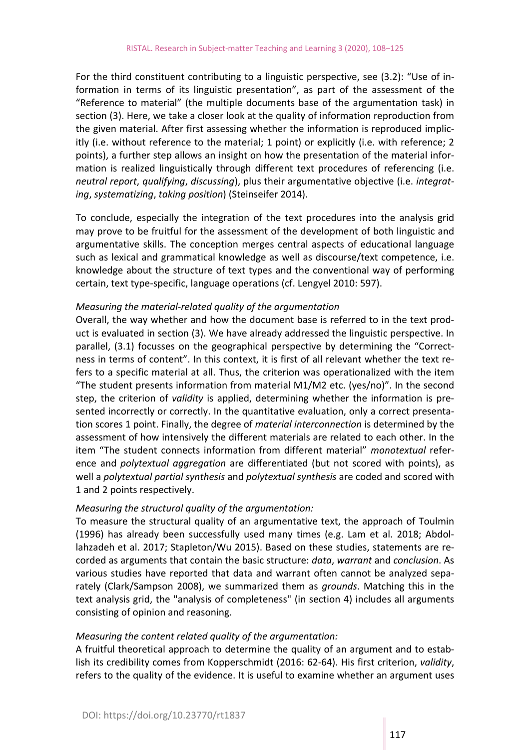For the third constituent contributing to a linguistic perspective, see (3.2): "Use of in‐ formation in terms of its linguistic presentation", as part of the assessment of the "Reference to material" (the multiple documents base of the argumentation task) in section (3). Here, we take a closer look at the quality of information reproduction from the given material. After first assessing whether the information is reproduced implic‐ itly (i.e. without reference to the material; 1 point) or explicitly (i.e. with reference; 2 points), a further step allows an insight on how the presentation of the material infor‐ mation is realized linguistically through different text procedures of referencing (i.e. *neutral report*, *qualifying*, *discussing*), plus their argumentative objective (i.e. *integrat‐ ing*, *systematizing*, *taking position*) (Steinseifer 2014).

To conclude, especially the integration of the text procedures into the analysis grid may prove to be fruitful for the assessment of the development of both linguistic and argumentative skills. The conception merges central aspects of educational language such as lexical and grammatical knowledge as well as discourse/text competence, i.e. knowledge about the structure of text types and the conventional way of performing certain, text type‐specific, language operations (cf. Lengyel 2010: 597).

#### *Measuring the material‐related quality of the argumentation*

Overall, the way whether and how the document base is referred to in the text prod‐ uct is evaluated in section (3). We have already addressed the linguistic perspective. In parallel, (3.1) focusses on the geographical perspective by determining the "Correctness in terms of content". In this context, it is first of all relevant whether the text re‐ fers to a specific material at all. Thus, the criterion was operationalized with the item "The student presents information from material M1/M2 etc. (yes/no)". In the second step, the criterion of *validity* is applied, determining whether the information is pre‐ sented incorrectly or correctly. In the quantitative evaluation, only a correct presenta‐ tion scores 1 point. Finally, the degree of *material interconnection* is determined by the assessment of how intensively the different materials are related to each other. In the item "The student connects information from different material" *monotextual* refer‐ ence and *polytextual aggregation*  are differentiated (but not scored with points), as well a *polytextual partial synthesis* and *polytextual synthesis* are coded and scored with 1 and 2 points respectively.

#### *Measuring the structural quality of the argumentation:*

To measure the structural quality of an argumentative text, the approach of Toulmin (1996) has already been successfully used many times (e.g. Lam et al. 2018; Abdol‐ lahzadeh et al. 2017; Stapleton/Wu 2015). Based on these studies, statements are re‐ corded as arguments that contain the basic structure: *data*, *warrant* and *conclusion*. As various studies have reported that data and warrant often cannot be analyzed sepa‐ rately (Clark/Sampson 2008), we summarized them as *grounds*. Matching this in the text analysis grid, the "analysis of completeness" (in section 4) includes all arguments consisting of opinion and reasoning.

#### *Measuring the content related quality of the argumentation:*

A fruitful theoretical approach to determine the quality of an argument and to estab‐ lish its credibility comes from Kopperschmidt (2016: 62‐64). His first criterion, *validity*, refers to the quality of the evidence. It is useful to examine whether an argument uses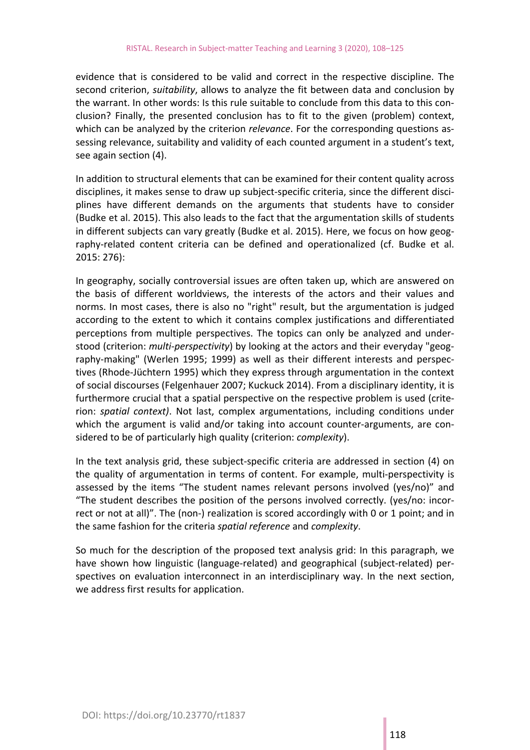evidence that is considered to be valid and correct in the respective discipline. The second criterion, *suitability*, allows to analyze the fit between data and conclusion by the warrant. In other words: Is this rule suitable to conclude from this data to this con‐ clusion? Finally, the presented conclusion has to fit to the given (problem) context, which can be analyzed by the criterion *relevance*. For the corresponding questions as‐ sessing relevance, suitability and validity of each counted argument in a student's text, see again section (4).

In addition to structural elements that can be examined for their content quality across disciplines, it makes sense to draw up subject‐specific criteria, since the different disci‐ plines have different demands on the arguments that students have to consider (Budke et al. 2015). This also leads to the fact that the argumentation skills of students in different subjects can vary greatly (Budke et al. 2015). Here, we focus on how geography‐related content criteria can be defined and operationalized (cf. Budke et al. 2015: 276):

In geography, socially controversial issues are often taken up, which are answered on the basis of different worldviews, the interests of the actors and their values and norms. In most cases, there is also no "right" result, but the argumentation is judged according to the extent to which it contains complex justifications and differentiated perceptions from multiple perspectives. The topics can only be analyzed and under‐ stood (criterion: *multi-perspectivity*) by looking at the actors and their everyday "geography‐making" (Werlen 1995; 1999) as well as their different interests and perspec‐ tives (Rhode‐Jüchtern 1995) which they express through argumentation in the context of social discourses (Felgenhauer 2007; Kuckuck 2014). From a disciplinary identity, it is furthermore crucial that a spatial perspective on the respective problem is used (crite‐ rion: *spatial context)*. Not last, complex argumentations, including conditions under which the argument is valid and/or taking into account counter-arguments, are considered to be of particularly high quality (criterion: *complexity*).

In the text analysis grid, these subject‐specific criteria are addressed in section (4) on the quality of argumentation in terms of content. For example, multi-perspectivity is assessed by the items "The student names relevant persons involved (yes/no)" and "The student describes the position of the persons involved correctly. (yes/no: incor‐ rect or not at all)". The (non‐) realization is scored accordingly with 0 or 1 point; and in the same fashion for the criteria *spatial reference* and *complexity*.

So much for the description of the proposed text analysis grid: In this paragraph, we have shown how linguistic (language‐related) and geographical (subject‐related) per‐ spectives on evaluation interconnect in an interdisciplinary way. In the next section, we address first results for application.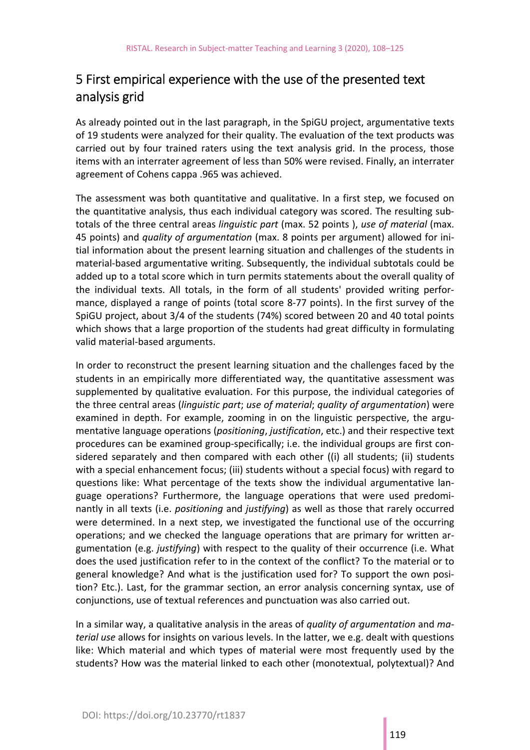# 5 First empirical experience with the use of the presented text analysis grid

As already pointed out in the last paragraph, in the SpiGU project, argumentative texts of 19 students were analyzed for their quality. The evaluation of the text products was carried out by four trained raters using the text analysis grid. In the process, those items with an interrater agreement of less than 50% were revised. Finally, an interrater agreement of Cohens cappa .965 was achieved.

The assessment was both quantitative and qualitative. In a first step, we focused on the quantitative analysis, thus each individual category was scored. The resulting sub‐ totals of the three central areas *linguistic part* (max. 52 points ), *use of material* (max. 45 points) and *quality of argumentation* (max. 8 points per argument) allowed for ini‐ tial information about the present learning situation and challenges of the students in material‐based argumentative writing. Subsequently, the individual subtotals could be added up to a total score which in turn permits statements about the overall quality of the individual texts. All totals, in the form of all students' provided writing performance, displayed a range of points (total score 8‐77 points). In the first survey of the SpiGU project, about 3/4 of the students (74%) scored between 20 and 40 total points which shows that a large proportion of the students had great difficulty in formulating valid material‐based arguments.

In order to reconstruct the present learning situation and the challenges faced by the students in an empirically more differentiated way, the quantitative assessment was supplemented by qualitative evaluation. For this purpose, the individual categories of the three central areas (*linguistic part*; *use of material*; *quality of argumentation*) were examined in depth. For example, zooming in on the linguistic perspective, the argumentative language operations (*positioning*, *justification*, etc.) and their respective text procedures can be examined group‐specifically; i.e. the individual groups are first con‐ sidered separately and then compared with each other ((i) all students; (ii) students with a special enhancement focus; (iii) students without a special focus) with regard to questions like: What percentage of the texts show the individual argumentative lan‐ guage operations? Furthermore, the language operations that were used predomi‐ nantly in all texts (i.e. *positioning* and *justifying*) as well as those that rarely occurred were determined. In a next step, we investigated the functional use of the occurring operations; and we checked the language operations that are primary for written ar‐ gumentation (e.g. *justifying*) with respect to the quality of their occurrence (i.e. What does the used justification refer to in the context of the conflict? To the material or to general knowledge? And what is the justification used for? To support the own posi‐ tion? Etc.). Last, for the grammar section, an error analysis concerning syntax, use of conjunctions, use of textual references and punctuation was also carried out.

In a similar way, a qualitative analysis in the areas of *quality of argumentation* and *ma‐ terial use* allows for insights on various levels. In the latter, we e.g. dealt with questions like: Which material and which types of material were most frequently used by the students? How was the material linked to each other (monotextual, polytextual)? And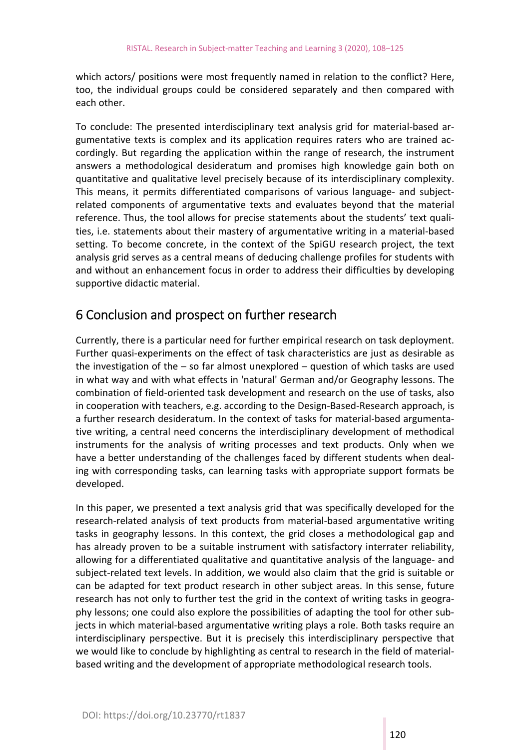which actors/ positions were most frequently named in relation to the conflict? Here, too, the individual groups could be considered separately and then compared with each other.

To conclude: The presented interdisciplinary text analysis grid for material‐based ar‐ gumentative texts is complex and its application requires raters who are trained accordingly. But regarding the application within the range of research, the instrument answers a methodological desideratum and promises high knowledge gain both on quantitative and qualitative level precisely because of its interdisciplinary complexity. This means, it permits differentiated comparisons of various language- and subjectrelated components of argumentative texts and evaluates beyond that the material reference. Thus, the tool allows for precise statements about the students' text quali‐ ties, i.e. statements about their mastery of argumentative writing in a material‐based setting. To become concrete, in the context of the SpiGU research project, the text analysis grid serves as a central means of deducing challenge profiles for students with and without an enhancement focus in order to address their difficulties by developing supportive didactic material.

### 6 Conclusion and prospect on further research

Currently, there is a particular need for further empirical research on task deployment. Further quasi‐experiments on the effect of task characteristics are just as desirable as the investigation of the  $-$  so far almost unexplored  $-$  question of which tasks are used in what way and with what effects in 'natural' German and/or Geography lessons. The combination of field‐oriented task development and research on the use of tasks, also in cooperation with teachers, e.g. according to the Design-Based-Research approach, is a further research desideratum. In the context of tasks for material‐based argumenta‐ tive writing, a central need concerns the interdisciplinary development of methodical instruments for the analysis of writing processes and text products. Only when we have a better understanding of the challenges faced by different students when deal‐ ing with corresponding tasks, can learning tasks with appropriate support formats be developed.

In this paper, we presented a text analysis grid that was specifically developed for the research-related analysis of text products from material-based argumentative writing tasks in geography lessons. In this context, the grid closes a methodological gap and has already proven to be a suitable instrument with satisfactory interrater reliability, allowing for a differentiated qualitative and quantitative analysis of the language‐ and subject‐related text levels. In addition, we would also claim that the grid is suitable or can be adapted for text product research in other subject areas. In this sense, future research has not only to further test the grid in the context of writing tasks in geography lessons; one could also explore the possibilities of adapting the tool for other sub‐ jects in which material‐based argumentative writing plays a role. Both tasks require an interdisciplinary perspective. But it is precisely this interdisciplinary perspective that we would like to conclude by highlighting as central to research in the field of materialbased writing and the development of appropriate methodological research tools.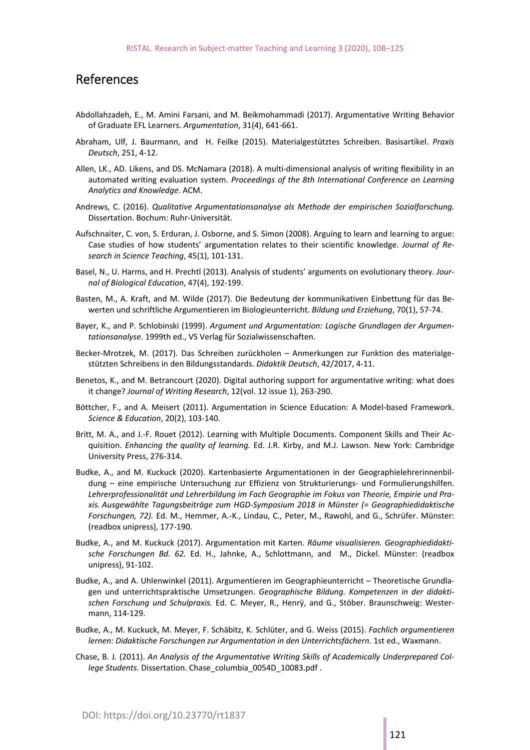#### References

- Abdollahzadeh, E., M. Amini Farsani, and M. Beikmohammadi (2017). Argumentative Writing Behavior of Graduate EFL Learners. *Argumentation*, 31(4), 641‐661.
- Abraham, Ulf, J. Baurmann, and H. Feilke (2015). Materialgestütztes Schreiben. Basisartikel. *Praxis Deutsch*, 251, 4‐12.
- Allen, LK., AD. Likens, and DS. McNamara (2018). A multi‐dimensional analysis of writing flexibility in an automated writing evaluation system. *Proceedings of the 8th International Conference on Learning Analytics and Knowledge*. ACM.
- Andrews, C. (2016). *Qualitative Argumentationsanalyse als Methode der empirischen Sozialforschung.*  Dissertation. Bochum: Ruhr‐Universität.
- Aufschnaiter, C. von, S. Erduran, J. Osborne, and S. Simon (2008). Arguing to learn and learning to argue: Case studies of how students' argumentation relates to their scientific knowledge. *Journal of Research in Science Teaching*, 45(1), 101‐131.
- Basel, N., U. Harms, and H. Prechtl (2013). Analysis of students' arguments on evolutionary theory. *Jour‐ nal of Biological Education*, 47(4), 192‐199.
- Basten, M., A. Kraft, and M. Wilde (2017). Die Bedeutung der kommunikativen Einbettung für das Be‐ werten und schriftliche Argumentieren im Biologieunterricht. *Bildung und Erziehung*, 70(1), 57‐74.
- Bayer, K., and P. Schlobinski (1999). *Argument und Argumentation: Logische Grundlagen der Argumen‐ tationsanalyse*. 1999th ed., VS Verlag für Sozialwissenschaften.
- Becker-Mrotzek, M. (2017). Das Schreiben zurückholen Anmerkungen zur Funktion des materialgestützten Schreibens in den Bildungsstandards. *Didaktik Deutsch*, 42/2017, 4‐11.
- Benetos, K., and M. Betrancourt (2020). Digital authoring support for argumentative writing: what does it change? *Journal of Writing Research*, 12(vol. 12 issue 1), 263‐290.
- Böttcher, F., and A. Meisert (2011). Argumentation in Science Education: A Model‐based Framework. *Science & Education*, 20(2), 103‐140.
- Britt, M. A., and J.‐F. Rouet (2012). Learning with Multiple Documents. Component Skills and Their Ac‐ quisition. *Enhancing the quality of learning.* Ed. J.R. Kirby, and M.J. Lawson. New York: Cambridge University Press, 276‐314.
- Budke, A., and M. Kuckuck (2020). Kartenbasierte Argumentationen in der Geographielehrerinnenbil‐ dung – eine empirische Untersuchung zur Effizienz von Strukturierungs- und Formulierungshilfen. *Lehrerprofessionalität und Lehrerbildung im Fach Geographie im Fokus von Theorie, Empirie und Pra‐ xis. Ausgewählte Tagungsbeiträge zum HGD‐Symposium 2018 in Münster (= Geographiedidaktische Forschungen, 72).* Ed. M., Hemmer, A.‐K., Lindau, C., Peter, M., Rawohl, and G., Schrüfer. Münster: (readbox unipress), 177‐190.
- Budke, A., and M. Kuckuck (2017). Argumentation mit Karten. *Räume visualisieren. Geographiedidakti‐ sche Forschungen Bd. 62.* Ed. H., Jahnke, A., Schlottmann, and M., Dickel. Münster: (readbox unipress), 91‐102.
- Budke, A., and A. Uhlenwinkel (2011). Argumentieren im Geographieunterricht Theoretische Grundla‐ gen und unterrichtspraktische Umsetzungen. *Geographische Bildung. Kompetenzen in der didakti‐ schen Forschung und Schulpraxis.* Ed. C. Meyer, R., Henrÿ, and G., Stöber. Braunschweig: Wester‐ mann, 114‐129.
- Budke, A., M. Kuckuck, M. Meyer, F. Schäbitz, K. Schlüter, and G. Weiss (2015). *Fachlich argumentieren lernen: Didaktische Forschungen zur Argumentation in den Unterrichtsfächern*. 1st ed., Waxmann.
- Chase, B. J. (2011). *An Analysis of the Argumentative Writing Skills of Academically Underprepared Col‐ lege Students.* Dissertation. Chase\_columbia\_0054D\_10083.pdf .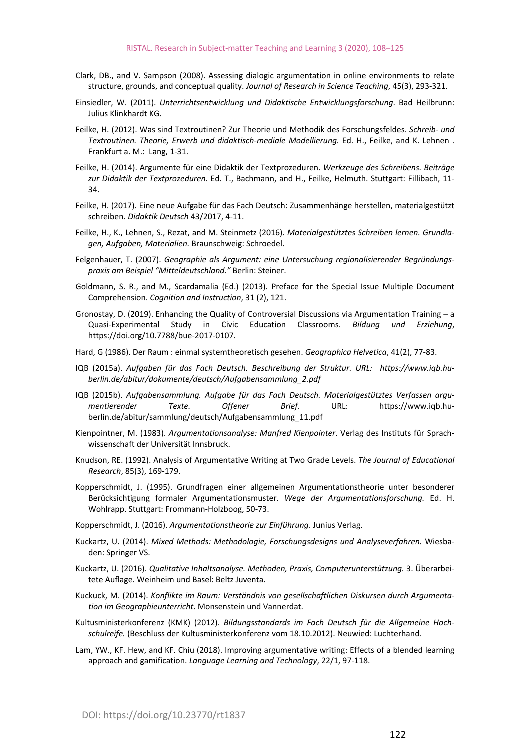- Clark, DB., and V. Sampson (2008). Assessing dialogic argumentation in online environments to relate structure, grounds, and conceptual quality. *Journal of Research in Science Teaching*, 45(3), 293‐321.
- Einsiedler, W. (2011). *Unterrichtsentwicklung und Didaktische Entwicklungsforschung*. Bad Heilbrunn: Julius Klinkhardt KG.
- Feilke, H. (2012). Was sind Textroutinen? Zur Theorie und Methodik des Forschungsfeldes. *Schreib‐ und Textroutinen. Theorie, Erwerb und didaktisch‐mediale Modellierung.* Ed. H., Feilke, and K. Lehnen . Frankfurt a. M.: Lang, 1‐31.
- Feilke, H. (2014). Argumente für eine Didaktik der Textprozeduren. *Werkzeuge des Schreibens. Beiträge zur Didaktik der Textprozeduren.* Ed. T., Bachmann, and H., Feilke, Helmuth. Stuttgart: Fillibach, 11‐ 34.
- Feilke, H. (2017). Eine neue Aufgabe für das Fach Deutsch: Zusammenhänge herstellen, materialgestützt schreiben. *Didaktik Deutsch* 43/2017, 4‐11.
- Feilke, H., K., Lehnen, S., Rezat, and M. Steinmetz (2016). *Materialgestütztes Schreiben lernen. Grundla‐ gen, Aufgaben, Materialien.* Braunschweig: Schroedel.
- Felgenhauer, T. (2007). *Geographie als Argument: eine Untersuchung regionalisierender Begründungs‐ praxis am Beispiel "Mitteldeutschland."* Berlin: Steiner.
- Goldmann, S. R., and M., Scardamalia (Ed.) (2013). Preface for the Special Issue Multiple Document Comprehension. *Cognition and Instruction*, 31 (2), 121.
- Gronostay, D. (2019). Enhancing the Quality of Controversial Discussions via Argumentation Training a Quasi‐Experimental Study in Civic Education Classrooms. *Bildung und Erziehung*, [https://doi.org/10.7788/bue‐2017‐0107.](https://doi.org/10.7788/bue%E2%80%902017%E2%80%900107)
- Hard, G (1986). Der Raum : einmal systemtheoretisch gesehen. *Geographica Helvetica*, 41(2), 77‐83.
- IQB (2015a). *[Aufgaben für das Fach Deutsch. Beschreibung der Struktur. URL:](https://www.iqb.hu%E2%80%90berlin.IQB)  [https://www.iqb.hu](https://www.iqb.hu%E2%80%90berlin.IQB)‐ berlin.de/abitur/dokumente/deutsch/Aufgabensammlung\_2.pdf*
- [IQB \(2](https://www.iqb.hu%E2%80%90berlin.IQB)015b). *Aufgabensammlung. Aufgabe für das Fach Deutsch. Materialgestütztes Verfassen argu‐ mentierender Texte. Offener Brief.*  URL:  [https://www.iqb.hu](https://www.iqb.hu%E2%80%90berlin.Kienpointner)‐ [berlin.de/abitur/sammlung/deutsch/Aufgabensammlung\\_11.pdf](https://www.iqb.hu%E2%80%90berlin.Kienpointner)
- [Kienpointner, M](https://www.iqb.hu%E2%80%90berlin.Kienpointner). (1983). *Argumentationsanalyse: Manfred Kienpointer*. Verlag des Instituts für Sprach‐ wissenschaft der Universität Innsbruck.
- Knudson, RE. (1992). Analysis of Argumentative Writing at Two Grade Levels. *The Journal of Educational Research*, 85(3), 169‐179.
- Kopperschmidt, J. (1995). Grundfragen einer allgemeinen Argumentationstheorie unter besonderer Berücksichtigung formaler Argumentationsmuster. *Wege der Argumentationsforschung.* Ed. H. Wohlrapp. Stuttgart: Frommann‐Holzboog, 50‐73.
- Kopperschmidt, J. (2016). *Argumentationstheorie zur Einführung*. Junius Verlag.
- Kuckartz, U. (2014). *Mixed Methods: Methodologie, Forschungsdesigns und Analyseverfahren.* Wiesba‐ den: Springer VS.
- Kuckartz, U. (2016). *Qualitative Inhaltsanalyse. Methoden, Praxis, Computerunterstützung.* 3. Überarbei‐ tete Auflage. Weinheim und Basel: Beltz Juventa.
- Kuckuck, M. (2014). *Konflikte im Raum: Verständnis von gesellschaftlichen Diskursen durch Argumenta‐ tion im Geographieunterricht*. Monsenstein und Vannerdat.
- Kultusministerkonferenz (KMK) (2012). *Bildungsstandards im Fach Deutsch für die Allgemeine Hoch‐ schulreife.* (Beschluss der Kultusministerkonferenz vom 18.10.2012). Neuwied: Luchterhand.
- Lam, YW., KF. Hew, and KF. Chiu (2018). Improving argumentative writing: Effects of a blended learning approach and gamification. *Language Learning and Technology*, 22/1, 97‐118.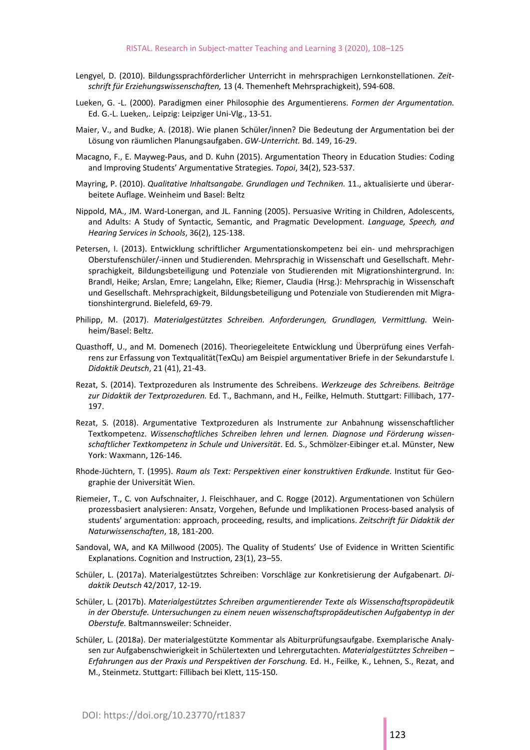- Lengyel, D. (2010). Bildungssprachförderlicher Unterricht in mehrsprachigen Lernkonstellationen. *Zeit‐ schrift für Erziehungswissenschaften,* 13 (4. Themenheft Mehrsprachigkeit), 594‐608.
- Lueken, G. ‐L. (2000). Paradigmen einer Philosophie des Argumentierens. *Formen der Argumentation.* Ed. G.‐L. Lueken,. Leipzig: Leipziger Uni‐Vlg., 13‐51.
- Maier, V., and Budke, A. (2018). Wie planen Schüler/innen? Die Bedeutung der Argumentation bei der Lösung von räumlichen Planungsaufgaben. *GW‐Unterricht.* Bd. 149, 16‐29.
- Macagno, F., E. Mayweg‐Paus, and D. Kuhn (2015). Argumentation Theory in Education Studies: Coding and Improving Students' Argumentative Strategies. *Topoi*, 34(2), 523‐537.
- Mayring, P. (2010). *Qualitative Inhaltsangabe. Grundlagen und Techniken.* 11., aktualisierte und überar‐ beitete Auflage. Weinheim und Basel: Beltz
- Nippold, MA., JM. Ward‐Lonergan, and JL. Fanning (2005). Persuasive Writing in Children, Adolescents, and Adults: A Study of Syntactic, Semantic, and Pragmatic Development. *Language, Speech, and Hearing Services in Schools*, 36(2), 125‐138.
- Petersen, I. (2013). Entwicklung schriftlicher Argumentationskompetenz bei ein- und mehrsprachigen Oberstufenschüler/‐innen und Studierenden. Mehrsprachig in Wissenschaft und Gesellschaft. Mehr‐ sprachigkeit, Bildungsbeteiligung und Potenziale von Studierenden mit Migrationshintergrund. In: Brandl, Heike; Arslan, Emre; Langelahn, Elke; Riemer, Claudia (Hrsg.): Mehrsprachig in Wissenschaft und Gesellschaft. Mehrsprachigkeit, Bildungsbeteiligung und Potenziale von Studierenden mit Migrationshintergrund. Bielefeld, 69‐79.
- Philipp, M. (2017). *Materialgestütztes Schreiben. Anforderungen, Grundlagen, Vermittlung.* Wein‐ heim/Basel: Beltz.
- Quasthoff, U., and M. Domenech (2016). Theoriegeleitete Entwicklung und Überprüfung eines Verfah‐ rens zur Erfassung von Textqualität(TexQu) am Beispiel argumentativer Briefe in der Sekundarstufe I. *Didaktik Deutsch*, 21 (41), 21‐43.
- Rezat, S. (2014). Textprozeduren als Instrumente des Schreibens. *Werkzeuge des Schreibens. Beiträge zur Didaktik der Textprozeduren.* Ed. T., Bachmann, and H., Feilke, Helmuth. Stuttgart: Fillibach, 177‐ 197.
- Rezat, S. (2018). Argumentative Textprozeduren als Instrumente zur Anbahnung wissenschaftlicher Textkompetenz. *Wissenschaftliches Schreiben lehren und lernen. Diagnose und Förderung wissen‐ schaftlicher Textkompetenz in Schule und Universität*. Ed. S., Schmölzer‐Eibinger et.al. Münster, New York: Waxmann, 126‐146.
- Rhode‐Jüchtern, T. (1995). *Raum als Text: Perspektiven einer konstruktiven Erdkunde*. Institut für Geo‐ graphie der Universität Wien.
- Riemeier, T., C. von Aufschnaiter, J. Fleischhauer, and C. Rogge (2012). Argumentationen von Schülern prozessbasiert analysieren: Ansatz, Vorgehen, Befunde und Implikationen Process‐based analysis of students' argumentation: approach, proceeding, results, and implications. *Zeitschrift für Didaktik der Naturwissenschaften*, 18, 181‐200.
- Sandoval, WA, and KA Millwood (2005). The Quality of Students' Use of Evidence in Written Scientific Explanations. Cognition and Instruction, 23(1), 23–55.
- Schüler, L. (2017a). Materialgestütztes Schreiben: Vorschläge zur Konkretisierung der Aufgabenart. *Di‐ daktik Deutsch* 42/2017, 12‐19.
- Schüler, L. (2017b). *Materialgestütztes Schreiben argumentierender Texte als Wissenschaftspropädeutik in der Oberstufe. Untersuchungen zu einem neuen wissenschaftspropädeutischen Aufgabentyp in der Oberstufe.* Baltmannsweiler: Schneider.
- Schüler, L. (2018a). Der materialgestützte Kommentar als Abiturprüfungsaufgabe. Exemplarische Analy‐ sen zur Aufgabenschwierigkeit in Schülertexten und Lehrergutachten. *Materialgestütztes Schreiben – Erfahrungen aus der Praxis und Perspektiven der Forschung.* Ed. H., Feilke, K., Lehnen, S., Rezat, and M., Steinmetz. Stuttgart: Fillibach bei Klett, 115‐150.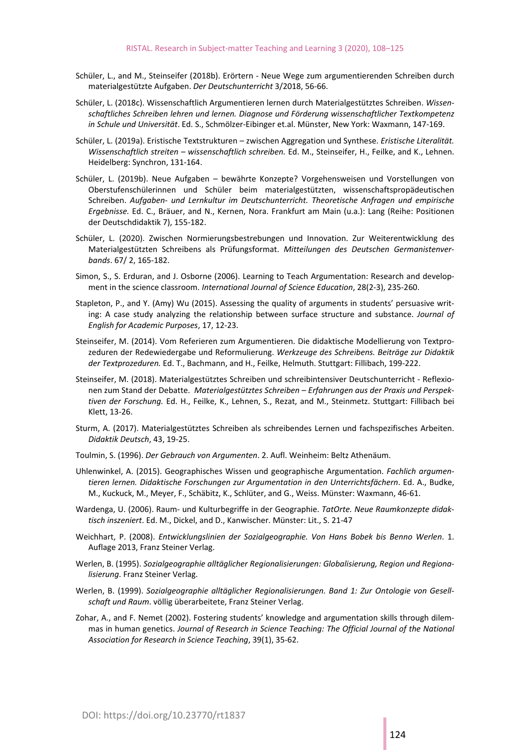- Schüler, L., and M., Steinseifer (2018b). Erörtern ‐ Neue Wege zum argumentierenden Schreiben durch materialgestützte Aufgaben. *Der Deutschunterricht* 3/2018, 56‐66.
- Schüler, L. (2018c). Wissenschaftlich Argumentieren lernen durch Materialgestütztes Schreiben. *Wissen‐ schaftliches Schreiben lehren und lernen. Diagnose und Förderung wissenschaftlicher Textkompetenz in Schule und Universität*. Ed. S., Schmölzer‐Eibinger et.al. Münster, New York: Waxmann, 147‐169.
- Schüler, L. (2019a). Eristische Textstrukturen zwischen Aggregation und Synthese. *Eristische Literalität. Wissenschaftlich streiten – wissenschaftlich schreiben.* Ed. M., Steinseifer, H., Feilke, and K., Lehnen. Heidelberg: Synchron, 131‐164.
- Schüler, L. (2019b). Neue Aufgaben bewährte Konzepte? Vorgehensweisen und Vorstellungen von Oberstufenschülerinnen und Schüler beim materialgestützten, wissenschaftspropädeutischen Schreiben. *Aufgaben‐ und Lernkultur im Deutschunterricht. Theoretische Anfragen und empirische Ergebnisse.* Ed. C., Bräuer, and N., Kernen, Nora. Frankfurt am Main (u.a.): Lang (Reihe: Positionen der Deutschdidaktik 7), 155‐182.
- Schüler, L. (2020). Zwischen Normierungsbestrebungen und Innovation. Zur Weiterentwicklung des Materialgestützten Schreibens als Prüfungsformat. *Mitteilungen des Deutschen Germanistenver‐ bands*. 67/ 2, 165‐182.
- Simon, S., S. Erduran, and J. Osborne (2006). Learning to Teach Argumentation: Research and develop‐ ment in the science classroom. *International Journal of Science Education*, 28(2‐3), 235‐260.
- Stapleton, P., and Y. (Amy) Wu (2015). Assessing the quality of arguments in students' persuasive writ‐ ing: A case study analyzing the relationship between surface structure and substance. *Journal of English for Academic Purposes*, 17, 12‐23.
- Steinseifer, M. (2014). Vom Referieren zum Argumentieren. Die didaktische Modellierung von Textpro‐ zeduren der Redewiedergabe und Reformulierung. *Werkzeuge des Schreibens. Beiträge zur Didaktik der Textprozeduren.* Ed. T., Bachmann, and H., Feilke, Helmuth. Stuttgart: Fillibach, 199‐222.
- Steinseifer, M. (2018). Materialgestütztes Schreiben und schreibintensiver Deutschunterricht Reflexionen zum Stand der Debatte. *Materialgestütztes Schreiben – Erfahrungen aus der Praxis und Perspek‐ tiven der Forschung.* Ed. H., Feilke, K., Lehnen, S., Rezat, and M., Steinmetz. Stuttgart: Fillibach bei Klett, 13‐26.
- Sturm, A. (2017). Materialgestütztes Schreiben als schreibendes Lernen und fachspezifisches Arbeiten. *Didaktik Deutsch*, 43, 19‐25.
- Toulmin, S. (1996). *Der Gebrauch von Argumenten*. 2. Aufl. Weinheim: Beltz Athenäum.
- Uhlenwinkel, A. (2015). Geographisches Wissen und geographische Argumentation. *Fachlich argumen‐ tieren lernen. Didaktische Forschungen zur Argumentation in den Unterrichtsfächern*. Ed. A., Budke, M., Kuckuck, M., Meyer, F., Schäbitz, K., Schlüter, and G., Weiss. Münster: Waxmann, 46‐61.
- Wardenga, U. (2006). Raum‐ und Kulturbegriffe in der Geographie. *TatOrte. Neue Raumkonzepte didak‐ tisch inszeniert*. Ed. M., Dickel, and D., Kanwischer. Münster: Lit., S. 21‐47
- Weichhart, P. (2008). *Entwicklungslinien der Sozialgeographie. Von Hans Bobek bis Benno Werlen*. 1. Auflage 2013, Franz Steiner Verlag.
- Werlen, B. (1995). *Sozialgeographie alltäglicher Regionalisierungen: Globalisierung, Region und Regiona‐ lisierung*. Franz Steiner Verlag.
- Werlen, B. (1999). *Sozialgeographie alltäglicher Regionalisierungen. Band 1: Zur Ontologie von Gesell‐ schaft und Raum*. völlig überarbeitete, Franz Steiner Verlag.
- Zohar, A., and F. Nemet (2002). Fostering students' knowledge and argumentation skills through dilem‐ mas in human genetics. *Journal of Research in Science Teaching: The Official Journal of the National Association for Research in Science Teaching*, 39(1), 35‐62.